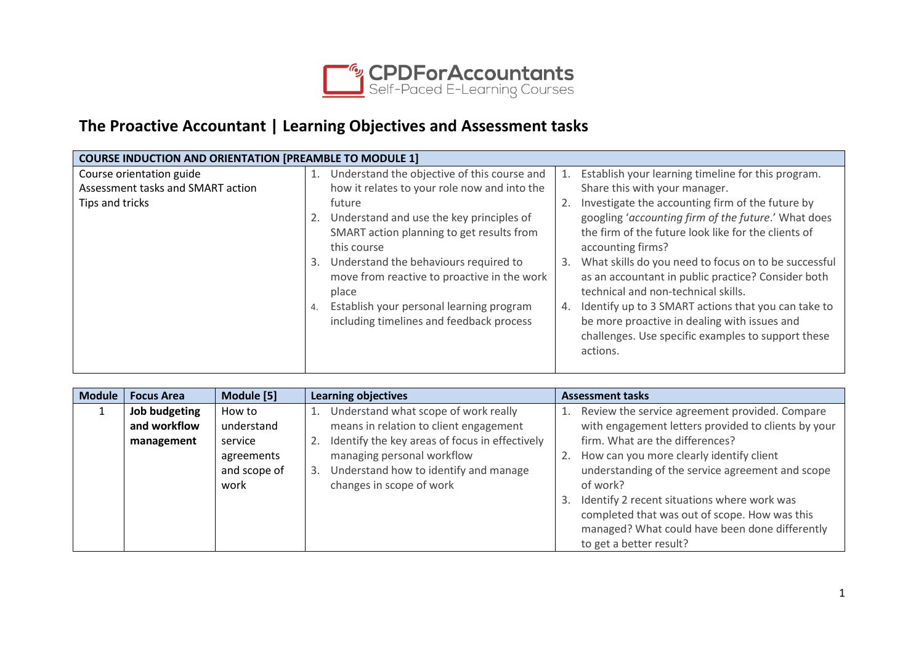

## **The Proactive Accountant | Learning Objectives and Assessment tasks**

|                                   | <b>COURSE INDUCTION AND ORIENTATION [PREAMBLE TO MODULE 1]</b>                                              |  |  |  |  |  |
|-----------------------------------|-------------------------------------------------------------------------------------------------------------|--|--|--|--|--|
| Course orientation guide          | Understand the objective of this course and<br>Establish your learning timeline for this program.<br>1.     |  |  |  |  |  |
| Assessment tasks and SMART action | how it relates to your role now and into the<br>Share this with your manager.                               |  |  |  |  |  |
| Tips and tricks                   | Investigate the accounting firm of the future by<br>future                                                  |  |  |  |  |  |
|                                   | googling 'accounting firm of the future.' What does<br>2. Understand and use the key principles of          |  |  |  |  |  |
|                                   | the firm of the future look like for the clients of<br>SMART action planning to get results from            |  |  |  |  |  |
|                                   | this course<br>accounting firms?                                                                            |  |  |  |  |  |
|                                   | What skills do you need to focus on to be successful<br>Understand the behaviours required to<br>3.<br>3.   |  |  |  |  |  |
|                                   | move from reactive to proactive in the work<br>as an accountant in public practice? Consider both           |  |  |  |  |  |
|                                   | technical and non-technical skills.<br>place                                                                |  |  |  |  |  |
|                                   | Establish your personal learning program<br>Identify up to 3 SMART actions that you can take to<br>4.<br>4. |  |  |  |  |  |
|                                   | including timelines and feedback process<br>be more proactive in dealing with issues and                    |  |  |  |  |  |
|                                   | challenges. Use specific examples to support these                                                          |  |  |  |  |  |
|                                   | actions.                                                                                                    |  |  |  |  |  |
|                                   |                                                                                                             |  |  |  |  |  |

| <b>Module</b> | <b>Focus Area</b> | Module [5]   | <b>Learning objectives</b>                     | <b>Assessment tasks</b>                             |
|---------------|-------------------|--------------|------------------------------------------------|-----------------------------------------------------|
|               | Job budgeting     | How to       | Understand what scope of work really           | Review the service agreement provided. Compare      |
|               | and workflow      | understand   | means in relation to client engagement         | with engagement letters provided to clients by your |
|               | management        | service      | Identify the key areas of focus in effectively | firm. What are the differences?                     |
|               |                   | agreements   | managing personal workflow                     | 2. How can you more clearly identify client         |
|               |                   | and scope of | Understand how to identify and manage<br>3.    | understanding of the service agreement and scope    |
|               |                   | work         | changes in scope of work                       | of work?                                            |
|               |                   |              |                                                | 3. Identify 2 recent situations where work was      |
|               |                   |              |                                                | completed that was out of scope. How was this       |
|               |                   |              |                                                | managed? What could have been done differently      |
|               |                   |              |                                                | to get a better result?                             |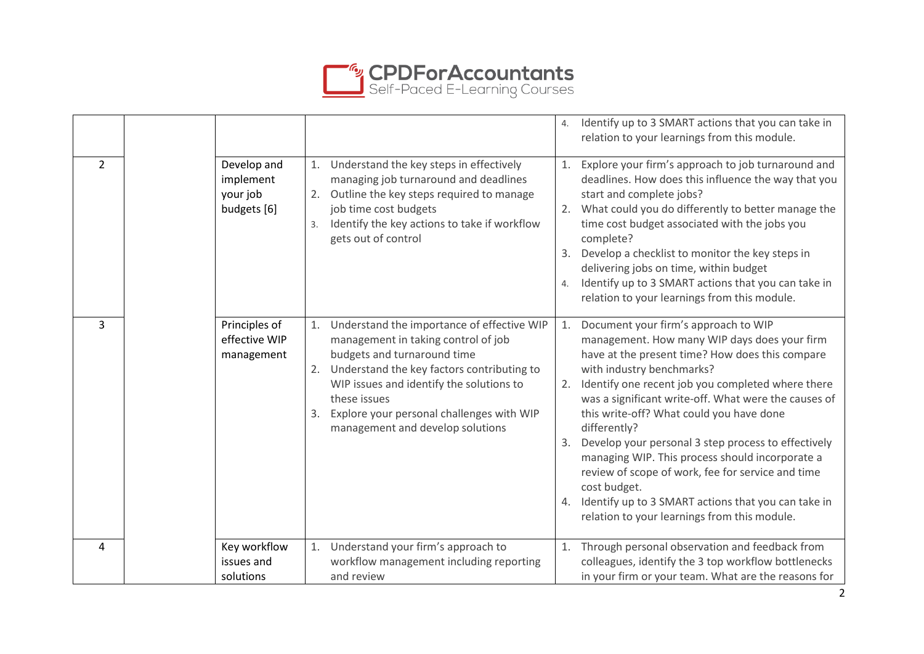

|                |                                                     |                                                                                                                                                                                                                                                                                                                            | Identify up to 3 SMART actions that you can take in<br>4.<br>relation to your learnings from this module.                                                                                                                                                                                                                                                                                                                                                                                                                                                                                                                                             |
|----------------|-----------------------------------------------------|----------------------------------------------------------------------------------------------------------------------------------------------------------------------------------------------------------------------------------------------------------------------------------------------------------------------------|-------------------------------------------------------------------------------------------------------------------------------------------------------------------------------------------------------------------------------------------------------------------------------------------------------------------------------------------------------------------------------------------------------------------------------------------------------------------------------------------------------------------------------------------------------------------------------------------------------------------------------------------------------|
| $\overline{2}$ | Develop and<br>implement<br>your job<br>budgets [6] | Understand the key steps in effectively<br>1.<br>managing job turnaround and deadlines<br>2. Outline the key steps required to manage<br>job time cost budgets<br>Identify the key actions to take if workflow<br>3.<br>gets out of control                                                                                | Explore your firm's approach to job turnaround and<br>1.<br>deadlines. How does this influence the way that you<br>start and complete jobs?<br>What could you do differently to better manage the<br>2.<br>time cost budget associated with the jobs you<br>complete?<br>Develop a checklist to monitor the key steps in<br>3.<br>delivering jobs on time, within budget<br>Identify up to 3 SMART actions that you can take in<br>4.<br>relation to your learnings from this module.                                                                                                                                                                 |
| 3              | Principles of<br>effective WIP<br>management        | 1. Understand the importance of effective WIP<br>management in taking control of job<br>budgets and turnaround time<br>Understand the key factors contributing to<br>2.<br>WIP issues and identify the solutions to<br>these issues<br>Explore your personal challenges with WIP<br>3.<br>management and develop solutions | 1. Document your firm's approach to WIP<br>management. How many WIP days does your firm<br>have at the present time? How does this compare<br>with industry benchmarks?<br>Identify one recent job you completed where there<br>2.<br>was a significant write-off. What were the causes of<br>this write-off? What could you have done<br>differently?<br>Develop your personal 3 step process to effectively<br>3.<br>managing WIP. This process should incorporate a<br>review of scope of work, fee for service and time<br>cost budget.<br>4. Identify up to 3 SMART actions that you can take in<br>relation to your learnings from this module. |
| 4              | Key workflow<br>issues and                          | Understand your firm's approach to<br>1.<br>workflow management including reporting                                                                                                                                                                                                                                        | Through personal observation and feedback from<br>1.<br>colleagues, identify the 3 top workflow bottlenecks                                                                                                                                                                                                                                                                                                                                                                                                                                                                                                                                           |
|                | solutions                                           | and review                                                                                                                                                                                                                                                                                                                 | in your firm or your team. What are the reasons for                                                                                                                                                                                                                                                                                                                                                                                                                                                                                                                                                                                                   |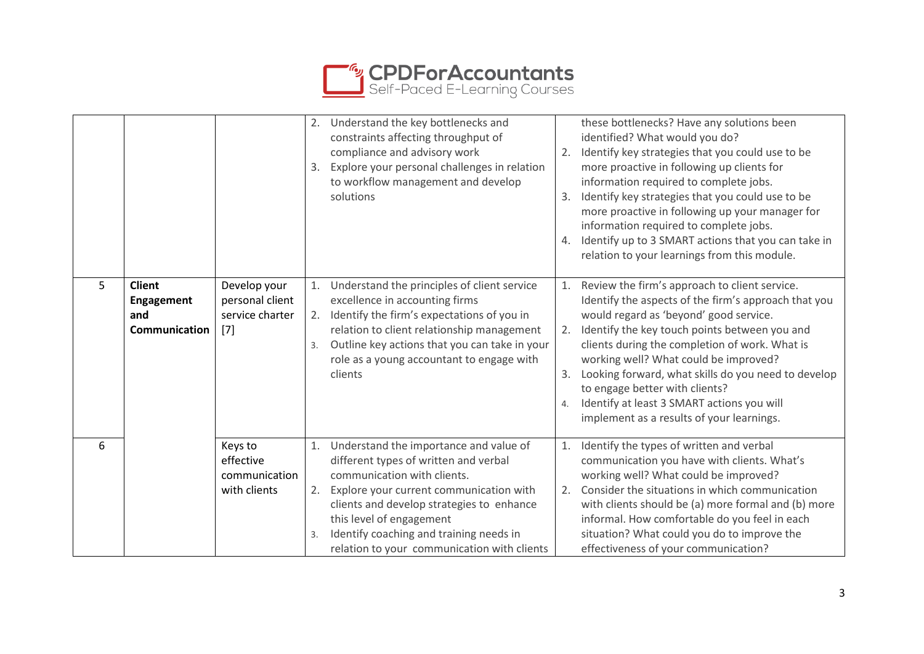

|   |                                                            |                                                             | 2. Understand the key bottlenecks and<br>constraints affecting throughput of<br>compliance and advisory work<br>Explore your personal challenges in relation<br>3.<br>to workflow management and develop<br>solutions                                                                                                                       | these bottlenecks? Have any solutions been<br>identified? What would you do?<br>Identify key strategies that you could use to be<br>2.<br>more proactive in following up clients for<br>information required to complete jobs.<br>Identify key strategies that you could use to be<br>3.<br>more proactive in following up your manager for<br>information required to complete jobs.<br>Identify up to 3 SMART actions that you can take in<br>4.<br>relation to your learnings from this module.   |
|---|------------------------------------------------------------|-------------------------------------------------------------|---------------------------------------------------------------------------------------------------------------------------------------------------------------------------------------------------------------------------------------------------------------------------------------------------------------------------------------------|------------------------------------------------------------------------------------------------------------------------------------------------------------------------------------------------------------------------------------------------------------------------------------------------------------------------------------------------------------------------------------------------------------------------------------------------------------------------------------------------------|
| 5 | <b>Client</b><br><b>Engagement</b><br>and<br>Communication | Develop your<br>personal client<br>service charter<br>$[7]$ | Understand the principles of client service<br>excellence in accounting firms<br>2. Identify the firm's expectations of you in<br>relation to client relationship management<br>Outline key actions that you can take in your<br>3.<br>role as a young accountant to engage with<br>clients                                                 | Review the firm's approach to client service.<br>1.<br>Identify the aspects of the firm's approach that you<br>would regard as 'beyond' good service.<br>2. Identify the key touch points between you and<br>clients during the completion of work. What is<br>working well? What could be improved?<br>Looking forward, what skills do you need to develop<br>3.<br>to engage better with clients?<br>Identify at least 3 SMART actions you will<br>4.<br>implement as a results of your learnings. |
| 6 |                                                            | Keys to<br>effective<br>communication<br>with clients       | Understand the importance and value of<br>1.<br>different types of written and verbal<br>communication with clients.<br>2. Explore your current communication with<br>clients and develop strategies to enhance<br>this level of engagement<br>Identify coaching and training needs in<br>3.<br>relation to your communication with clients | Identify the types of written and verbal<br>1.<br>communication you have with clients. What's<br>working well? What could be improved?<br>Consider the situations in which communication<br>2.<br>with clients should be (a) more formal and (b) more<br>informal. How comfortable do you feel in each<br>situation? What could you do to improve the<br>effectiveness of your communication?                                                                                                        |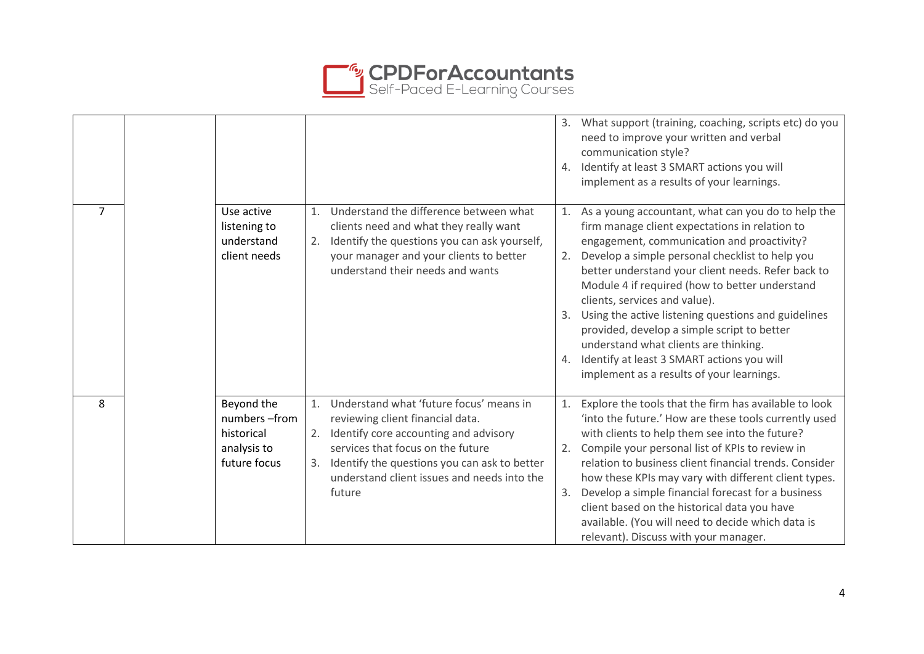

|                |                                                                         |                                                                                                                                                                                                                                                                                      | 3. What support (training, coaching, scripts etc) do you<br>need to improve your written and verbal<br>communication style?<br>4. Identify at least 3 SMART actions you will<br>implement as a results of your learnings.                                                                                                                                                                                                                                                                                                                                                                            |
|----------------|-------------------------------------------------------------------------|--------------------------------------------------------------------------------------------------------------------------------------------------------------------------------------------------------------------------------------------------------------------------------------|------------------------------------------------------------------------------------------------------------------------------------------------------------------------------------------------------------------------------------------------------------------------------------------------------------------------------------------------------------------------------------------------------------------------------------------------------------------------------------------------------------------------------------------------------------------------------------------------------|
| $\overline{7}$ | Use active<br>listening to<br>understand<br>client needs                | Understand the difference between what<br>1.<br>clients need and what they really want<br>Identify the questions you can ask yourself,<br>2.<br>your manager and your clients to better<br>understand their needs and wants                                                          | 1. As a young accountant, what can you do to help the<br>firm manage client expectations in relation to<br>engagement, communication and proactivity?<br>Develop a simple personal checklist to help you<br>2.<br>better understand your client needs. Refer back to<br>Module 4 if required (how to better understand<br>clients, services and value).<br>Using the active listening questions and guidelines<br>provided, develop a simple script to better<br>understand what clients are thinking.<br>4. Identify at least 3 SMART actions you will<br>implement as a results of your learnings. |
| 8              | Beyond the<br>numbers-from<br>historical<br>analysis to<br>future focus | Understand what 'future focus' means in<br>1.<br>reviewing client financial data.<br>Identify core accounting and advisory<br>2.<br>services that focus on the future<br>Identify the questions you can ask to better<br>3.<br>understand client issues and needs into the<br>future | Explore the tools that the firm has available to look<br>1.<br>'into the future.' How are these tools currently used<br>with clients to help them see into the future?<br>Compile your personal list of KPIs to review in<br>relation to business client financial trends. Consider<br>how these KPIs may vary with different client types.<br>Develop a simple financial forecast for a business<br>3.<br>client based on the historical data you have<br>available. (You will need to decide which data is<br>relevant). Discuss with your manager.                                                |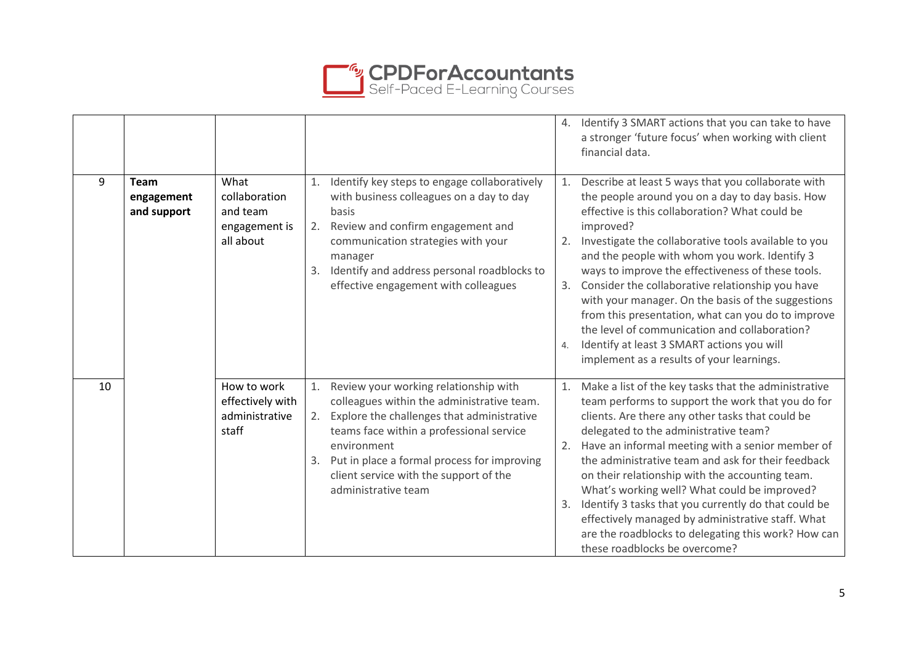

|    |                                          |                                                                 |                                                                                                                                                                                                                                                                                                                                |                              | 4. Identify 3 SMART actions that you can take to have<br>a stronger 'future focus' when working with client<br>financial data.                                                                                                                                                                                                                                                                                                                                                                                                                                                                                                                     |
|----|------------------------------------------|-----------------------------------------------------------------|--------------------------------------------------------------------------------------------------------------------------------------------------------------------------------------------------------------------------------------------------------------------------------------------------------------------------------|------------------------------|----------------------------------------------------------------------------------------------------------------------------------------------------------------------------------------------------------------------------------------------------------------------------------------------------------------------------------------------------------------------------------------------------------------------------------------------------------------------------------------------------------------------------------------------------------------------------------------------------------------------------------------------------|
| 9  | <b>Team</b><br>engagement<br>and support | What<br>collaboration<br>and team<br>engagement is<br>all about | 1.<br>Identify key steps to engage collaboratively<br>with business colleagues on a day to day<br>basis<br>Review and confirm engagement and<br>2.<br>communication strategies with your<br>manager<br>Identify and address personal roadblocks to<br>3.<br>effective engagement with colleagues                               | 2.<br>3.<br>$\overline{4}$ . | 1. Describe at least 5 ways that you collaborate with<br>the people around you on a day to day basis. How<br>effective is this collaboration? What could be<br>improved?<br>Investigate the collaborative tools available to you<br>and the people with whom you work. Identify 3<br>ways to improve the effectiveness of these tools.<br>Consider the collaborative relationship you have<br>with your manager. On the basis of the suggestions<br>from this presentation, what can you do to improve<br>the level of communication and collaboration?<br>Identify at least 3 SMART actions you will<br>implement as a results of your learnings. |
| 10 |                                          | How to work<br>effectively with<br>administrative<br>staff      | 1.<br>Review your working relationship with<br>colleagues within the administrative team.<br>Explore the challenges that administrative<br>2.<br>teams face within a professional service<br>environment<br>Put in place a formal process for improving<br>3.<br>client service with the support of the<br>administrative team | 1.<br>3.                     | Make a list of the key tasks that the administrative<br>team performs to support the work that you do for<br>clients. Are there any other tasks that could be<br>delegated to the administrative team?<br>2. Have an informal meeting with a senior member of<br>the administrative team and ask for their feedback<br>on their relationship with the accounting team.<br>What's working well? What could be improved?<br>Identify 3 tasks that you currently do that could be<br>effectively managed by administrative staff. What<br>are the roadblocks to delegating this work? How can<br>these roadblocks be overcome?                        |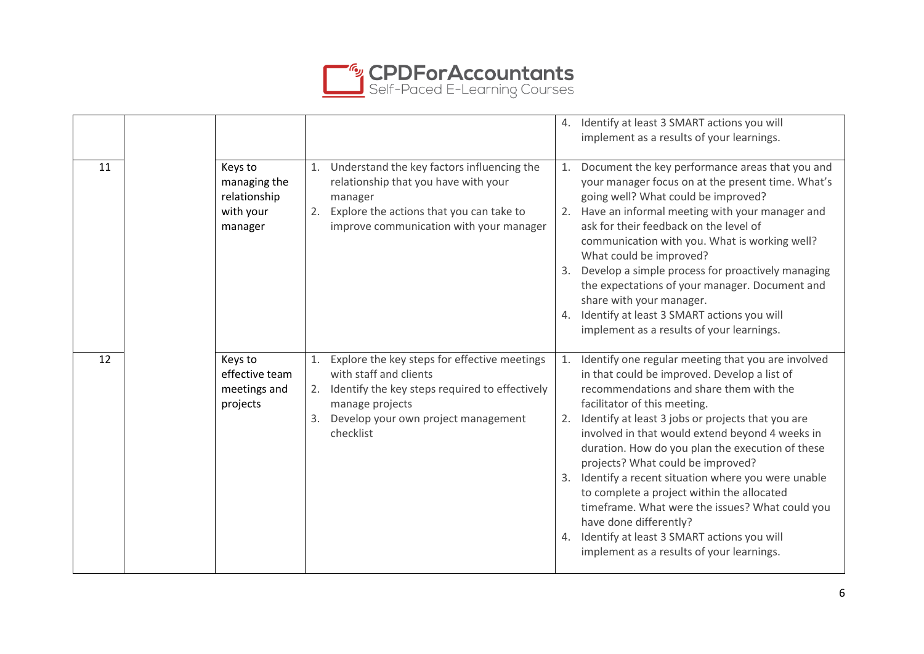

|    |                                                                 |                                                                                                                                                                                                       |    | 4. Identify at least 3 SMART actions you will<br>implement as a results of your learnings.                                                                                                                                                                                                                                                                                                                                                                                                                                                                                                                                                                         |
|----|-----------------------------------------------------------------|-------------------------------------------------------------------------------------------------------------------------------------------------------------------------------------------------------|----|--------------------------------------------------------------------------------------------------------------------------------------------------------------------------------------------------------------------------------------------------------------------------------------------------------------------------------------------------------------------------------------------------------------------------------------------------------------------------------------------------------------------------------------------------------------------------------------------------------------------------------------------------------------------|
| 11 | Keys to<br>managing the<br>relationship<br>with your<br>manager | Understand the key factors influencing the<br>1.<br>relationship that you have with your<br>manager<br>Explore the actions that you can take to<br>2.<br>improve communication with your manager      | 4. | 1. Document the key performance areas that you and<br>your manager focus on at the present time. What's<br>going well? What could be improved?<br>2. Have an informal meeting with your manager and<br>ask for their feedback on the level of<br>communication with you. What is working well?<br>What could be improved?<br>3. Develop a simple process for proactively managing<br>the expectations of your manager. Document and<br>share with your manager.<br>Identify at least 3 SMART actions you will<br>implement as a results of your learnings.                                                                                                         |
| 12 | Keys to<br>effective team<br>meetings and<br>projects           | Explore the key steps for effective meetings<br>1.<br>with staff and clients<br>Identify the key steps required to effectively<br>manage projects<br>Develop your own project management<br>checklist | 1. | Identify one regular meeting that you are involved<br>in that could be improved. Develop a list of<br>recommendations and share them with the<br>facilitator of this meeting.<br>2. Identify at least 3 jobs or projects that you are<br>involved in that would extend beyond 4 weeks in<br>duration. How do you plan the execution of these<br>projects? What could be improved?<br>3. Identify a recent situation where you were unable<br>to complete a project within the allocated<br>timeframe. What were the issues? What could you<br>have done differently?<br>4. Identify at least 3 SMART actions you will<br>implement as a results of your learnings. |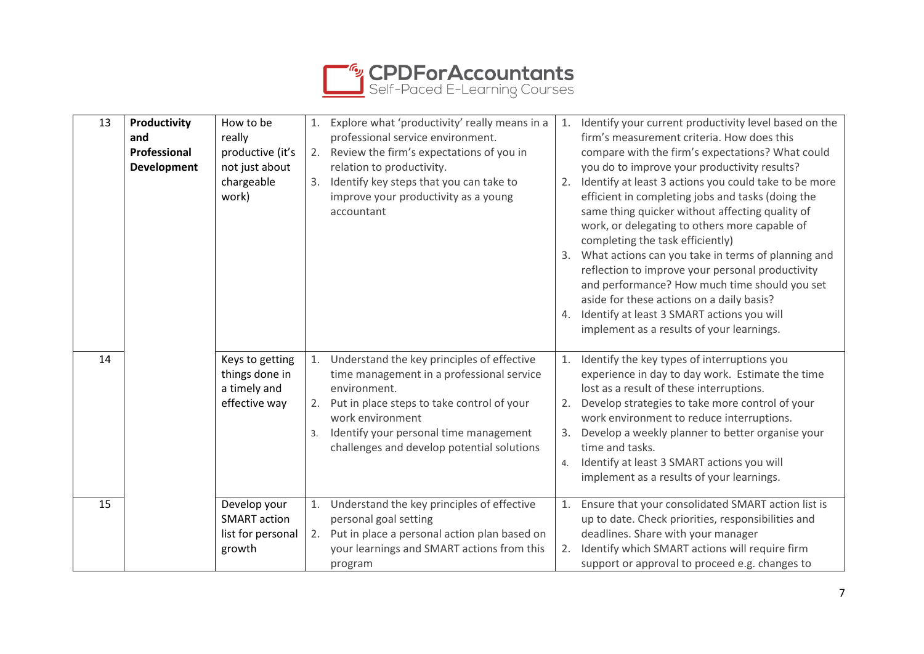

| 13 | Productivity<br>and<br>Professional | How to be<br>really<br>productive (it's                            |          | Explore what 'productivity' really means in a<br>professional service environment.<br>Review the firm's expectations of you in                                               | 1.                     | Identify your current productivity level based on the<br>firm's measurement criteria. How does this<br>compare with the firm's expectations? What could                                                                                                                                                                                                                                                                                                                                                                                                     |
|----|-------------------------------------|--------------------------------------------------------------------|----------|------------------------------------------------------------------------------------------------------------------------------------------------------------------------------|------------------------|-------------------------------------------------------------------------------------------------------------------------------------------------------------------------------------------------------------------------------------------------------------------------------------------------------------------------------------------------------------------------------------------------------------------------------------------------------------------------------------------------------------------------------------------------------------|
|    | <b>Development</b>                  | not just about<br>chargeable<br>work)                              | 3.       | relation to productivity.<br>Identify key steps that you can take to<br>improve your productivity as a young<br>accountant                                                   | 2.<br>4.               | you do to improve your productivity results?<br>Identify at least 3 actions you could take to be more<br>efficient in completing jobs and tasks (doing the<br>same thing quicker without affecting quality of<br>work, or delegating to others more capable of<br>completing the task efficiently)<br>3. What actions can you take in terms of planning and<br>reflection to improve your personal productivity<br>and performance? How much time should you set<br>aside for these actions on a daily basis?<br>Identify at least 3 SMART actions you will |
| 14 |                                     | Keys to getting<br>things done in                                  | 1.       | Understand the key principles of effective<br>time management in a professional service                                                                                      | 1.                     | implement as a results of your learnings.<br>Identify the key types of interruptions you<br>experience in day to day work. Estimate the time                                                                                                                                                                                                                                                                                                                                                                                                                |
|    |                                     | a timely and<br>effective way                                      | 2.<br>3. | environment.<br>Put in place steps to take control of your<br>work environment<br>Identify your personal time management<br>challenges and develop potential solutions       | 2.<br>$\overline{4}$ . | lost as a result of these interruptions.<br>Develop strategies to take more control of your<br>work environment to reduce interruptions.<br>Develop a weekly planner to better organise your<br>time and tasks.<br>Identify at least 3 SMART actions you will<br>implement as a results of your learnings.                                                                                                                                                                                                                                                  |
| 15 |                                     | Develop your<br><b>SMART</b> action<br>list for personal<br>growth | 2.       | Understand the key principles of effective<br>personal goal setting<br>Put in place a personal action plan based on<br>your learnings and SMART actions from this<br>program | 1.<br>2.               | Ensure that your consolidated SMART action list is<br>up to date. Check priorities, responsibilities and<br>deadlines. Share with your manager<br>Identify which SMART actions will require firm<br>support or approval to proceed e.g. changes to                                                                                                                                                                                                                                                                                                          |